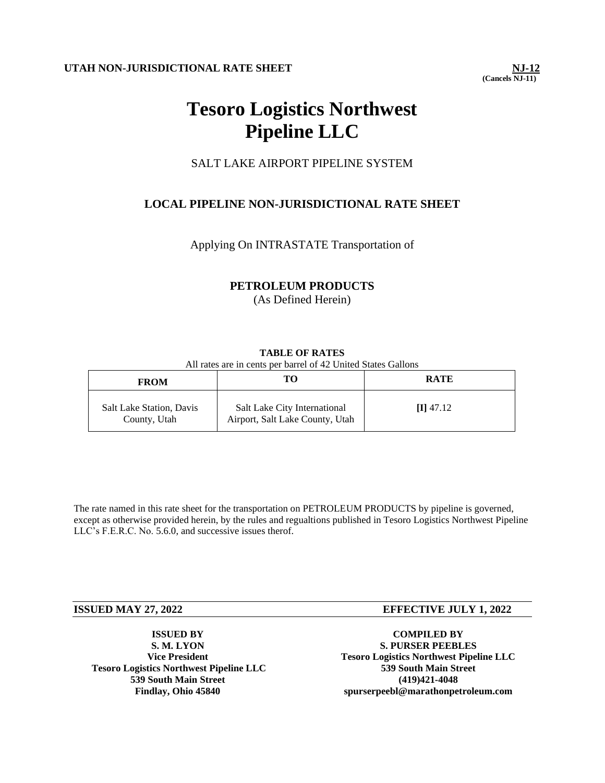**(Cancels NJ-11)** 

# **Tesoro Logistics Northwest Pipeline LLC**

# SALT LAKE AIRPORT PIPELINE SYSTEM

# **LOCAL PIPELINE NON-JURISDICTIONAL RATE SHEET**

Applying On INTRASTATE Transportation of

## **PETROLEUM PRODUCTS**

(As Defined Herein)

## **TABLE OF RATES**

All rates are in cents per barrel of 42 United States Gallons

| <b>FROM</b>                              |                                                                 | <b>RATE</b> |
|------------------------------------------|-----------------------------------------------------------------|-------------|
| Salt Lake Station, Davis<br>County, Utah | Salt Lake City International<br>Airport, Salt Lake County, Utah | $\Pi$ 47.12 |

The rate named in this rate sheet for the transportation on PETROLEUM PRODUCTS by pipeline is governed, except as otherwise provided herein, by the rules and regualtions published in Tesoro Logistics Northwest Pipeline LLC's F.E.R.C. No. 5.6.0, and successive issues therof.

**ISSUED BY S. M. LYON Vice President Tesoro Logistics Northwest Pipeline LLC 539 South Main Street Findlay, Ohio 45840**

## **ISSUED MAY 27, 2022 EFFECTIVE JULY 1, 2022**

**COMPILED BY S. PURSER PEEBLES Tesoro Logistics Northwest Pipeline LLC 539 South Main Street (419)421-4048 spurserpeebl@marathonpetroleum.com**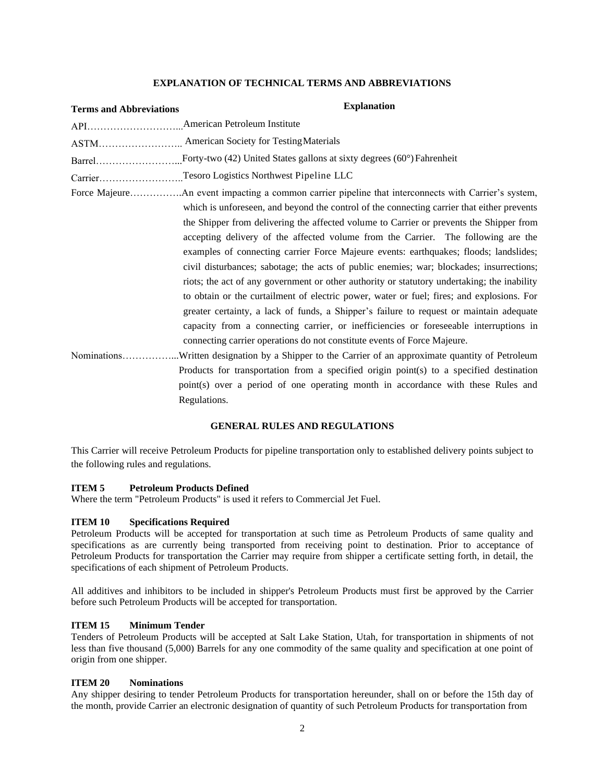#### **EXPLANATION OF TECHNICAL TERMS AND ABBREVIATIONS**

| <b>Terms and Abbreviations</b> | <b>Explanation</b>                                                                                 |
|--------------------------------|----------------------------------------------------------------------------------------------------|
|                                |                                                                                                    |
|                                | ASTM American Society for Testing Materials                                                        |
|                                |                                                                                                    |
|                                | CarrierTesoro Logistics Northwest Pipeline LLC                                                     |
|                                |                                                                                                    |
|                                | which is unforeseen, and beyond the control of the connecting carrier that either prevents         |
|                                | the Shipper from delivering the affected volume to Carrier or prevents the Shipper from            |
|                                | accepting delivery of the affected volume from the Carrier. The following are the                  |
|                                | examples of connecting carrier Force Majeure events: earthquakes; floods; landslides;              |
|                                | civil disturbances; sabotage; the acts of public enemies; war; blockades; insurrections;           |
|                                | riots; the act of any government or other authority or statutory undertaking; the inability        |
|                                | to obtain or the curtailment of electric power, water or fuel; fires; and explosions. For          |
|                                | greater certainty, a lack of funds, a Shipper's failure to request or maintain adequate            |
|                                | capacity from a connecting carrier, or inefficiencies or foreseeable interruptions in              |
|                                | connecting carrier operations do not constitute events of Force Majeure.                           |
|                                | NominationsWritten designation by a Shipper to the Carrier of an approximate quantity of Petroleum |
|                                | Products for transportation from a specified origin point(s) to a specified destination            |
|                                | point(s) over a period of one operating month in accordance with these Rules and                   |
|                                | Regulations.                                                                                       |

#### **GENERAL RULES AND REGULATIONS**

This Carrier will receive Petroleum Products for pipeline transportation only to established delivery points subject to the following rules and regulations.

#### **ITEM 5 Petroleum Products Defined**

Where the term "Petroleum Products" is used it refers to Commercial Jet Fuel.

## **ITEM 10 Specifications Required**

Petroleum Products will be accepted for transportation at such time as Petroleum Products of same quality and specifications as are currently being transported from receiving point to destination. Prior to acceptance of Petroleum Products for transportation the Carrier may require from shipper a certificate setting forth, in detail, the specifications of each shipment of Petroleum Products.

All additives and inhibitors to be included in shipper's Petroleum Products must first be approved by the Carrier before such Petroleum Products will be accepted for transportation.

#### **ITEM 15 Minimum Tender**

Tenders of Petroleum Products will be accepted at Salt Lake Station, Utah, for transportation in shipments of not less than five thousand (5,000) Barrels for any one commodity of the same quality and specification at one point of origin from one shipper.

#### **ITEM 20 Nominations**

Any shipper desiring to tender Petroleum Products for transportation hereunder, shall on or before the 15th day of the month, provide Carrier an electronic designation of quantity of such Petroleum Products for transportation from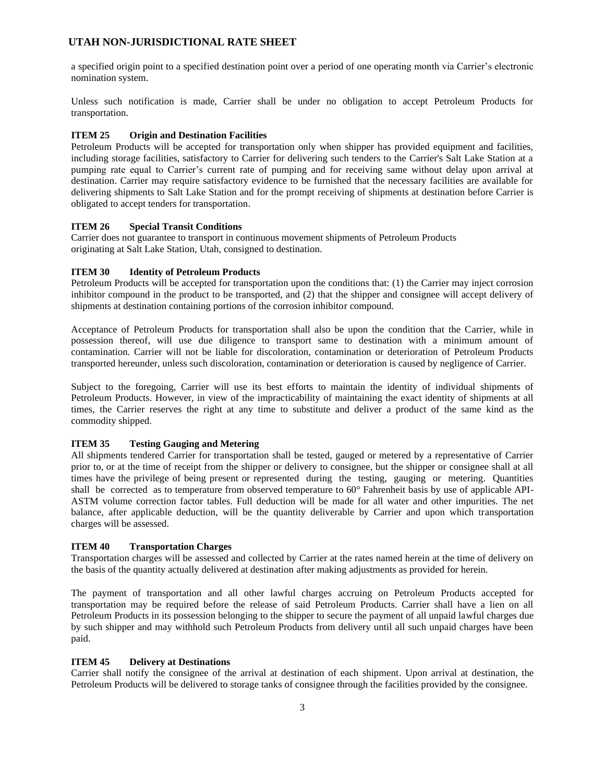a specified origin point to a specified destination point over a period of one operating month via Carrier's electronic nomination system.

Unless such notification is made, Carrier shall be under no obligation to accept Petroleum Products for transportation.

#### **ITEM 25 Origin and Destination Facilities**

Petroleum Products will be accepted for transportation only when shipper has provided equipment and facilities, including storage facilities, satisfactory to Carrier for delivering such tenders to the Carrier's Salt Lake Station at a pumping rate equal to Carrier's current rate of pumping and for receiving same without delay upon arrival at destination. Carrier may require satisfactory evidence to be furnished that the necessary facilities are available for delivering shipments to Salt Lake Station and for the prompt receiving of shipments at destination before Carrier is obligated to accept tenders for transportation.

#### **ITEM 26 Special Transit Conditions**

Carrier does not guarantee to transport in continuous movement shipments of Petroleum Products originating at Salt Lake Station, Utah, consigned to destination.

#### **ITEM 30 Identity of Petroleum Products**

Petroleum Products will be accepted for transportation upon the conditions that: (1) the Carrier may inject corrosion inhibitor compound in the product to be transported, and (2) that the shipper and consignee will accept delivery of shipments at destination containing portions of the corrosion inhibitor compound.

Acceptance of Petroleum Products for transportation shall also be upon the condition that the Carrier, while in possession thereof, will use due diligence to transport same to destination with a minimum amount of contamination. Carrier will not be liable for discoloration, contamination or deterioration of Petroleum Products transported hereunder, unless such discoloration, contamination or deterioration is caused by negligence of Carrier.

Subject to the foregoing, Carrier will use its best efforts to maintain the identity of individual shipments of Petroleum Products. However, in view of the impracticability of maintaining the exact identity of shipments at all times, the Carrier reserves the right at any time to substitute and deliver a product of the same kind as the commodity shipped.

#### **ITEM 35 Testing Gauging and Metering**

All shipments tendered Carrier for transportation shall be tested, gauged or metered by a representative of Carrier prior to, or at the time of receipt from the shipper or delivery to consignee, but the shipper or consignee shall at all times have the privilege of being present or represented during the testing, gauging or metering. Quantities shall be corrected as to temperature from observed temperature to  $60^\circ$  Fahrenheit basis by use of applicable API-ASTM volume correction factor tables. Full deduction will be made for all water and other impurities. The net balance, after applicable deduction, will be the quantity deliverable by Carrier and upon which transportation charges will be assessed.

#### **ITEM 40 Transportation Charges**

Transportation charges will be assessed and collected by Carrier at the rates named herein at the time of delivery on the basis of the quantity actually delivered at destination after making adjustments as provided for herein.

The payment of transportation and all other lawful charges accruing on Petroleum Products accepted for transportation may be required before the release of said Petroleum Products. Carrier shall have a lien on all Petroleum Products in its possession belonging to the shipper to secure the payment of all unpaid lawful charges due by such shipper and may withhold such Petroleum Products from delivery until all such unpaid charges have been paid.

#### **ITEM 45 Delivery at Destinations**

Carrier shall notify the consignee of the arrival at destination of each shipment. Upon arrival at destination, the Petroleum Products will be delivered to storage tanks of consignee through the facilities provided by the consignee.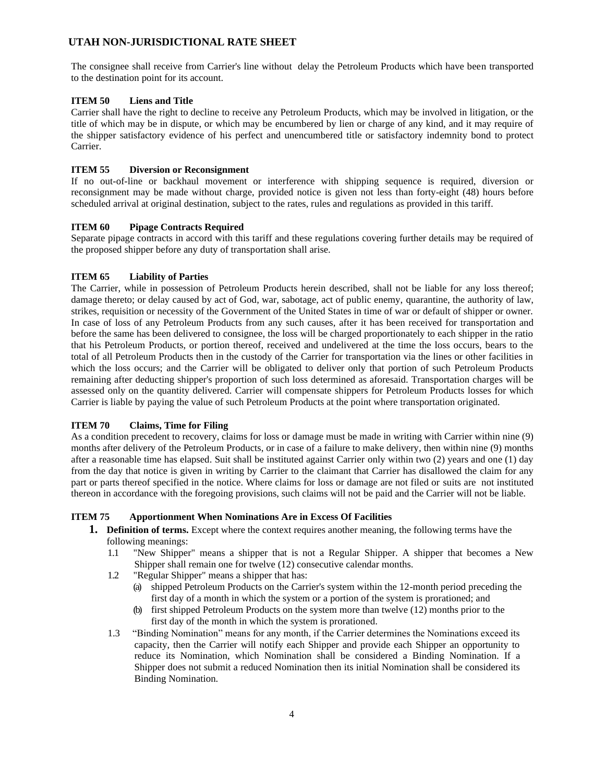The consignee shall receive from Carrier's line without delay the Petroleum Products which have been transported to the destination point for its account.

#### **ITEM 50 Liens and Title**

Carrier shall have the right to decline to receive any Petroleum Products, which may be involved in litigation, or the title of which may be in dispute, or which may be encumbered by lien or charge of any kind, and it may require of the shipper satisfactory evidence of his perfect and unencumbered title or satisfactory indemnity bond to protect Carrier.

#### **ITEM 55 Diversion or Reconsignment**

If no out-of-line or backhaul movement or interference with shipping sequence is required, diversion or reconsignment may be made without charge, provided notice is given not less than forty-eight (48) hours before scheduled arrival at original destination, subject to the rates, rules and regulations as provided in this tariff.

#### **ITEM 60 Pipage Contracts Required**

Separate pipage contracts in accord with this tariff and these regulations covering further details may be required of the proposed shipper before any duty of transportation shall arise.

## **ITEM 65 Liability of Parties**

The Carrier, while in possession of Petroleum Products herein described, shall not be liable for any loss thereof; damage thereto; or delay caused by act of God, war, sabotage, act of public enemy, quarantine, the authority of law, strikes, requisition or necessity of the Government of the United States in time of war or default of shipper or owner. In case of loss of any Petroleum Products from any such causes, after it has been received for transportation and before the same has been delivered to consignee, the loss will be charged proportionately to each shipper in the ratio that his Petroleum Products, or portion thereof, received and undelivered at the time the loss occurs, bears to the total of all Petroleum Products then in the custody of the Carrier for transportation via the lines or other facilities in which the loss occurs; and the Carrier will be obligated to deliver only that portion of such Petroleum Products remaining after deducting shipper's proportion of such loss determined as aforesaid. Transportation charges will be assessed only on the quantity delivered. Carrier will compensate shippers for Petroleum Products losses for which Carrier is liable by paying the value of such Petroleum Products at the point where transportation originated.

#### **ITEM 70 Claims, Time for Filing**

As a condition precedent to recovery, claims for loss or damage must be made in writing with Carrier within nine (9) months after delivery of the Petroleum Products, or in case of a failure to make delivery, then within nine (9) months after a reasonable time has elapsed. Suit shall be instituted against Carrier only within two (2) years and one (1) day from the day that notice is given in writing by Carrier to the claimant that Carrier has disallowed the claim for any part or parts thereof specified in the notice. Where claims for loss or damage are not filed or suits are not instituted thereon in accordance with the foregoing provisions, such claims will not be paid and the Carrier will not be liable.

#### **ITEM 75 Apportionment When Nominations Are in Excess Of Facilities**

- **1. Definition of terms.** Except where the context requires another meaning, the following terms have the following meanings:
	- 1.1 "New Shipper" means a shipper that is not a Regular Shipper. A shipper that becomes a New Shipper shall remain one for twelve (12) consecutive calendar months.
	- 1.2 "Regular Shipper" means a shipper that has:
		- (a) shipped Petroleum Products on the Carrier's system within the 12-month period preceding the first day of a month in which the system or a portion of the system is prorationed; and
		- (b) first shipped Petroleum Products on the system more than twelve (12) months prior to the first day of the month in which the system is prorationed.
	- 1.3 "Binding Nomination" means for any month, if the Carrier determines the Nominations exceed its capacity, then the Carrier will notify each Shipper and provide each Shipper an opportunity to reduce its Nomination, which Nomination shall be considered a Binding Nomination. If a Shipper does not submit a reduced Nomination then its initial Nomination shall be considered its Binding Nomination.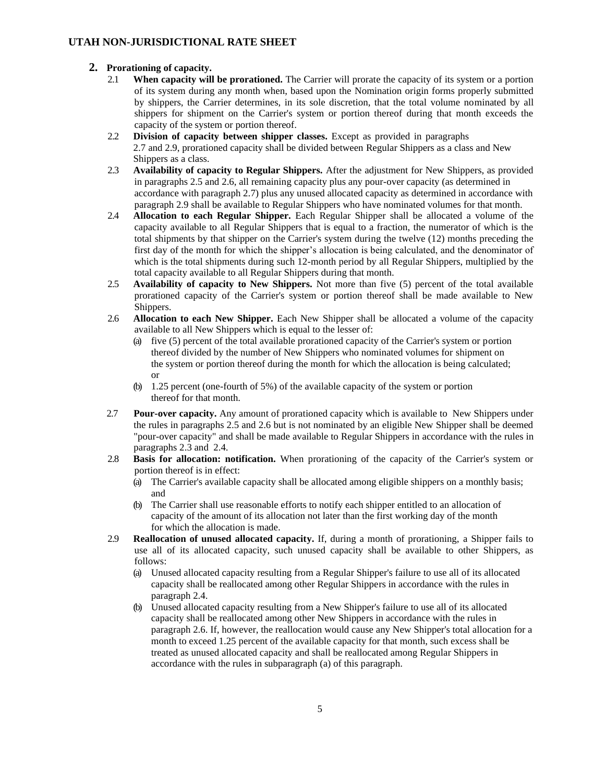## **2. Prorationing of capacity.**

- 2.1 **When capacity will be prorationed.** The Carrier will prorate the capacity of its system or a portion of its system during any month when, based upon the Nomination origin forms properly submitted by shippers, the Carrier determines, in its sole discretion, that the total volume nominated by all shippers for shipment on the Carrier's system or portion thereof during that month exceeds the capacity of the system or portion thereof.
- 2.2 **Division of capacity between shipper classes.** Except as provided in paragraphs 2.7 and 2.9, prorationed capacity shall be divided between Regular Shippers as a class and New Shippers as a class.
- 2.3 **Availability of capacity to Regular Shippers.** After the adjustment for New Shippers, as provided in paragraphs 2.5 and 2.6, all remaining capacity plus any pour-over capacity (as determined in accordance with paragraph 2.7) plus any unused allocated capacity as determined in accordance with paragraph 2.9 shall be available to Regular Shippers who have nominated volumes for that month.
- 2.4 **Allocation to each Regular Shipper.** Each Regular Shipper shall be allocated a volume of the capacity available to all Regular Shippers that is equal to a fraction, the numerator of which is the total shipments by that shipper on the Carrier's system during the twelve (12) months preceding the first day of the month for which the shipper's allocation is being calculated, and the denominator of which is the total shipments during such 12-month period by all Regular Shippers, multiplied by the total capacity available to all Regular Shippers during that month.
- 2.5 **Availability of capacity to New Shippers.** Not more than five (5) percent of the total available prorationed capacity of the Carrier's system or portion thereof shall be made available to New Shippers.
- 2.6 **Allocation to each New Shipper.** Each New Shipper shall be allocated a volume of the capacity available to all New Shippers which is equal to the lesser of:
	- (a) five (5) percent of the total available prorationed capacity of the Carrier's system or portion thereof divided by the number of New Shippers who nominated volumes for shipment on the system or portion thereof during the month for which the allocation is being calculated; or
	- (b) 1.25 percent (one-fourth of 5%) of the available capacity of the system or portion thereof for that month.
- 2.7 **Pour-over capacity.** Any amount of prorationed capacity which is available to New Shippers under the rules in paragraphs 2.5 and 2.6 but is not nominated by an eligible New Shipper shall be deemed "pour-over capacity" and shall be made available to Regular Shippers in accordance with the rules in paragraphs 2.3 and 2.4.
- 2.8 **Basis for allocation: notification.** When prorationing of the capacity of the Carrier's system or portion thereof is in effect:
	- (a) The Carrier's available capacity shall be allocated among eligible shippers on a monthly basis; and
	- (b) The Carrier shall use reasonable efforts to notify each shipper entitled to an allocation of capacity of the amount of its allocation not later than the first working day of the month for which the allocation is made.
- 2.9 **Reallocation of unused allocated capacity.** If, during a month of prorationing, a Shipper fails to use all of its allocated capacity, such unused capacity shall be available to other Shippers, as follows:
	- (a) Unused allocated capacity resulting from a Regular Shipper's failure to use all of its allocated capacity shall be reallocated among other Regular Shippers in accordance with the rules in paragraph 2.4.
	- (b) Unused allocated capacity resulting from a New Shipper's failure to use all of its allocated capacity shall be reallocated among other New Shippers in accordance with the rules in paragraph 2.6. If, however, the reallocation would cause any New Shipper's total allocation for a month to exceed 1.25 percent of the available capacity for that month, such excess shall be treated as unused allocated capacity and shall be reallocated among Regular Shippers in accordance with the rules in subparagraph (a) of this paragraph.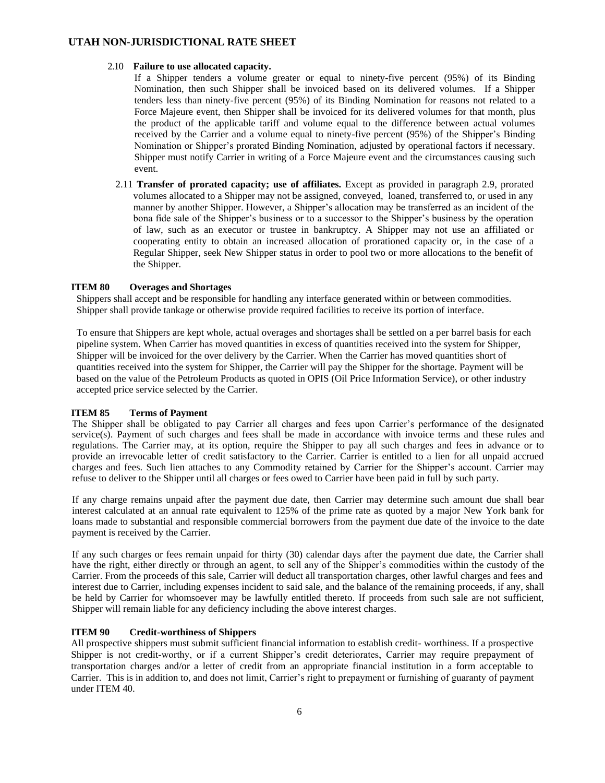#### 2.10 **Failure to use allocated capacity.**

If a Shipper tenders a volume greater or equal to ninety-five percent (95%) of its Binding Nomination, then such Shipper shall be invoiced based on its delivered volumes. If a Shipper tenders less than ninety-five percent (95%) of its Binding Nomination for reasons not related to a Force Majeure event, then Shipper shall be invoiced for its delivered volumes for that month, plus the product of the applicable tariff and volume equal to the difference between actual volumes received by the Carrier and a volume equal to ninety-five percent (95%) of the Shipper's Binding Nomination or Shipper's prorated Binding Nomination, adjusted by operational factors if necessary. Shipper must notify Carrier in writing of a Force Majeure event and the circumstances causing such event.

2.11 **Transfer of prorated capacity; use of affiliates.** Except as provided in paragraph 2.9, prorated volumes allocated to a Shipper may not be assigned, conveyed, loaned, transferred to, or used in any manner by another Shipper. However, a Shipper's allocation may be transferred as an incident of the bona fide sale of the Shipper's business or to a successor to the Shipper's business by the operation of law, such as an executor or trustee in bankruptcy. A Shipper may not use an affiliated or cooperating entity to obtain an increased allocation of prorationed capacity or, in the case of a Regular Shipper, seek New Shipper status in order to pool two or more allocations to the benefit of the Shipper.

#### **ITEM 80 Overages and Shortages**

Shippers shall accept and be responsible for handling any interface generated within or between commodities. Shipper shall provide tankage or otherwise provide required facilities to receive its portion of interface.

To ensure that Shippers are kept whole, actual overages and shortages shall be settled on a per barrel basis for each pipeline system. When Carrier has moved quantities in excess of quantities received into the system for Shipper, Shipper will be invoiced for the over delivery by the Carrier. When the Carrier has moved quantities short of quantities received into the system for Shipper, the Carrier will pay the Shipper for the shortage. Payment will be based on the value of the Petroleum Products as quoted in OPIS (Oil Price Information Service), or other industry accepted price service selected by the Carrier.

#### **ITEM 85 Terms of Payment**

The Shipper shall be obligated to pay Carrier all charges and fees upon Carrier's performance of the designated service(s). Payment of such charges and fees shall be made in accordance with invoice terms and these rules and regulations. The Carrier may, at its option, require the Shipper to pay all such charges and fees in advance or to provide an irrevocable letter of credit satisfactory to the Carrier. Carrier is entitled to a lien for all unpaid accrued charges and fees. Such lien attaches to any Commodity retained by Carrier for the Shipper's account. Carrier may refuse to deliver to the Shipper until all charges or fees owed to Carrier have been paid in full by such party.

If any charge remains unpaid after the payment due date, then Carrier may determine such amount due shall bear interest calculated at an annual rate equivalent to 125% of the prime rate as quoted by a major New York bank for loans made to substantial and responsible commercial borrowers from the payment due date of the invoice to the date payment is received by the Carrier.

If any such charges or fees remain unpaid for thirty (30) calendar days after the payment due date, the Carrier shall have the right, either directly or through an agent, to sell any of the Shipper's commodities within the custody of the Carrier. From the proceeds of this sale, Carrier will deduct all transportation charges, other lawful charges and fees and interest due to Carrier, including expenses incident to said sale, and the balance of the remaining proceeds, if any, shall be held by Carrier for whomsoever may be lawfully entitled thereto. If proceeds from such sale are not sufficient, Shipper will remain liable for any deficiency including the above interest charges.

## **ITEM 90 Credit-worthiness of Shippers**

All prospective shippers must submit sufficient financial information to establish credit- worthiness. If a prospective Shipper is not credit-worthy, or if a current Shipper's credit deteriorates, Carrier may require prepayment of transportation charges and/or a letter of credit from an appropriate financial institution in a form acceptable to Carrier. This is in addition to, and does not limit, Carrier's right to prepayment or furnishing of guaranty of payment under ITEM 40.